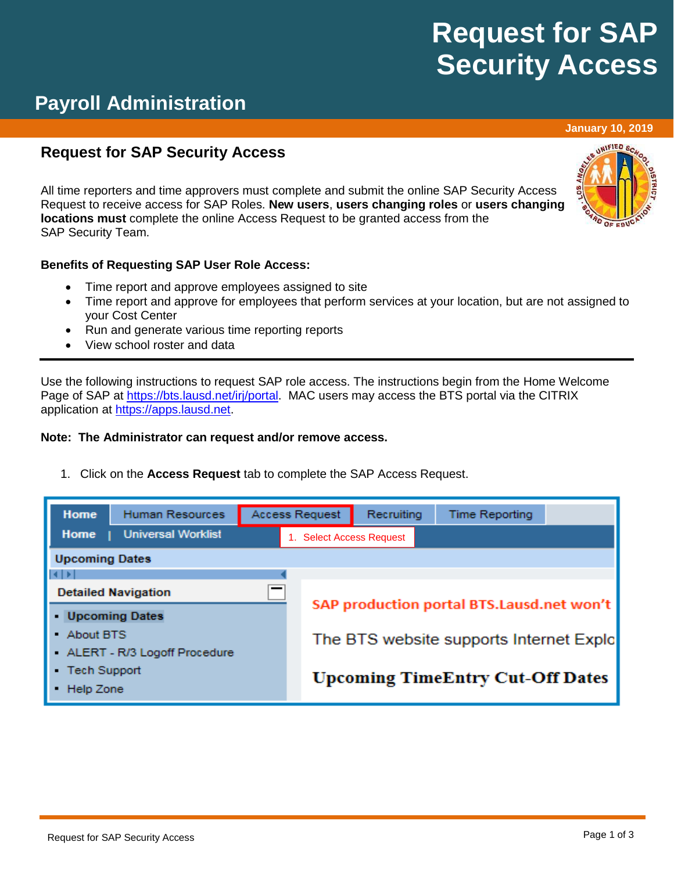# **Request for SAP Security Access**

## **Payroll Administration**

### **Request for SAP Security Access**

All time reporters and time approvers must complete and submit the online SAP Security Access Request to receive access for SAP Roles. **New users**, **users changing roles** or **users changing locations must** complete the online Access Request to be granted access from the SAP Security Team.

#### **Benefits of Requesting SAP User Role Access:**

- Time report and approve employees assigned to site
- Time report and approve for employees that perform services at your location, but are not assigned to your Cost Center
- Run and generate various time reporting reports
- View school roster and data

Use the following instructions to request SAP role access. The instructions begin from the Home Welcome Page of SAP at [https://bts.lausd.net/irj/portal.](https://bts.lausd.net/irj/portal) MAC users may access the BTS portal via the CITRIX application at [https://apps.lausd.net.](https://apps.lausd.net/)

#### **Note: The Administrator can request and/or remove access.**

1. Click on the **Access Request** tab to complete the SAP Access Request.

| <b>Home</b>                         | <b>Human Resources</b>       | <b>Access Request</b> |                                           | Recruiting | <b>Time Reporting</b> |  |  |
|-------------------------------------|------------------------------|-----------------------|-------------------------------------------|------------|-----------------------|--|--|
| Home                                | <b>Universal Worklist</b>    |                       | 1. Select Access Request                  |            |                       |  |  |
| <b>Upcoming Dates</b>               |                              |                       |                                           |            |                       |  |  |
| $  \cdot  $                         |                              |                       |                                           |            |                       |  |  |
|                                     | <b>Detailed Navigation</b>   |                       |                                           |            |                       |  |  |
| • Upcoming Dates                    |                              |                       | SAP production portal BTS.Lausd.net won't |            |                       |  |  |
| • About BTS                         |                              |                       | The BTS website supports Internet Explo   |            |                       |  |  |
|                                     | ALERT - R/3 Logoff Procedure |                       |                                           |            |                       |  |  |
| <b>Tech Support</b><br>$\mathbf{r}$ |                              |                       | <b>Upcoming TimeEntry Cut-Off Dates</b>   |            |                       |  |  |
| Help Zone                           |                              |                       |                                           |            |                       |  |  |



**January 10, 2019**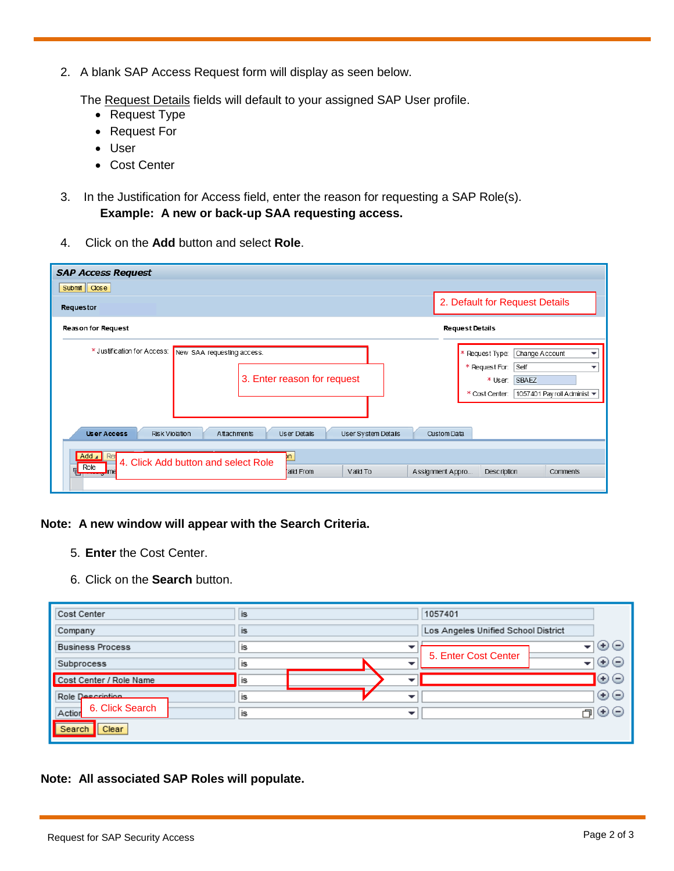2. A blank SAP Access Request form will display as seen below.

The Request Details fields will default to your assigned SAP User profile.

- Request Type
- Request For
- User
- Cost Center
- 3. In the Justification for Access field, enter the reason for requesting a SAP Role(s). **Example: A new or back-up SAA requesting access.**
- 4. Click on the **Add** button and select **Role**.

| <b>SAP Access Request</b>                                                                                                |                                                                                                                                                  |
|--------------------------------------------------------------------------------------------------------------------------|--------------------------------------------------------------------------------------------------------------------------------------------------|
| Submit   Close                                                                                                           |                                                                                                                                                  |
| Requestor                                                                                                                | 2. Default for Request Details                                                                                                                   |
| <b>Reason for Request</b>                                                                                                | <b>Request Details</b>                                                                                                                           |
| * Justification for Access:<br>New SAA requesting access.<br>3. Enter reason for request                                 | Change Account<br>* Request Type:<br>▼<br>* Request For:<br>Self<br>٠<br><b>SBAEZ</b><br>* User:<br>1057401 Payroll Administ ▼<br>* Cost Center: |
| User System Details<br><b>Risk Violation</b><br><b>User Access</b><br>Attachments<br>User Details                        | Custom Data                                                                                                                                      |
| Add 4<br>Rer<br>þn.<br>4. Click Add button and select Role<br>Role<br>Valid To<br>alid From<br>me. سم <del>ت مس</del> تر | Assignment Appro<br>Description<br>Comments                                                                                                      |

#### **Note: A new window will appear with the Search Criteria.**

- 5. **Enter** the Cost Center.
- 6. Click on the **Search** button.

| Cost Center               | <b>is</b> | 1057401                                 |  |  |
|---------------------------|-----------|-----------------------------------------|--|--|
| Company                   | <b>is</b> | Los Angeles Unified School District     |  |  |
| <b>Business Process</b>   | is        | $\odot$ e<br>▾╎<br>5. Enter Cost Center |  |  |
| Subprocess                | is<br>▼   | $\odot$ e<br>┳∣                         |  |  |
| Cost Center / Role Name   | is        | ⊙⊝                                      |  |  |
| Role Description          | is<br>▼   | $\odot$ e                               |  |  |
| 6. Click Search<br>Action | is<br>▼   | $\odot$ $\ominus$<br>门                  |  |  |
| Search<br>Clear           |           |                                         |  |  |

**Note: All associated SAP Roles will populate.**